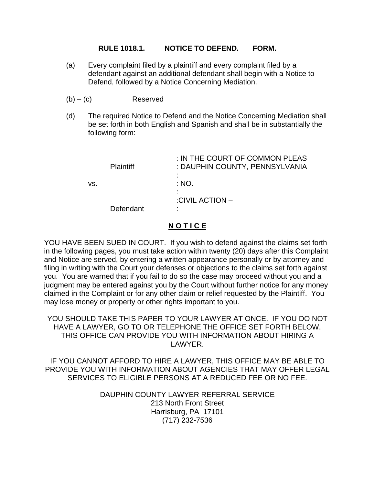## **RULE 1018.1. NOTICE TO DEFEND. FORM.**

- (a) Every complaint filed by a plaintiff and every complaint filed by a defendant against an additional defendant shall begin with a Notice to Defend, followed by a Notice Concerning Mediation.
- (b) (c)Reserved
- (d) The required Notice to Defend and the Notice Concerning Mediation shall be set forth in both English and Spanish and shall be in substantially the following form:

| <b>Plaintiff</b> | : IN THE COURT OF COMMON PLEAS<br>: DAUPHIN COUNTY, PENNSYLVANIA<br>٠ |
|------------------|-----------------------------------------------------------------------|
| VS.              | : NO.<br>٠                                                            |
| Defendant        | $\blacksquare$<br>:CIVIL ACTION -<br>٠                                |
|                  |                                                                       |

# **N O T I C E**

YOU HAVE BEEN SUED IN COURT. If you wish to defend against the claims set forth in the following pages, you must take action within twenty (20) days after this Complaint and Notice are served, by entering a written appearance personally or by attorney and filing in writing with the Court your defenses or objections to the claims set forth against you. You are warned that if you fail to do so the case may proceed without you and a judgment may be entered against you by the Court without further notice for any money claimed in the Complaint or for any other claim or relief requested by the Plaintiff. You may lose money or property or other rights important to you.

YOU SHOULD TAKE THIS PAPER TO YOUR LAWYER AT ONCE. IF YOU DO NOT HAVE A LAWYER, GO TO OR TELEPHONE THE OFFICE SET FORTH BELOW. THIS OFFICE CAN PROVIDE YOU WITH INFORMATION ABOUT HIRING A LAWYER.

IF YOU CANNOT AFFORD TO HIRE A LAWYER, THIS OFFICE MAY BE ABLE TO PROVIDE YOU WITH INFORMATION ABOUT AGENCIES THAT MAY OFFER LEGAL SERVICES TO ELIGIBLE PERSONS AT A REDUCED FEE OR NO FEE.

> DAUPHIN COUNTY LAWYER REFERRAL SERVICE 213 North Front Street Harrisburg, PA 17101 (717) 232-7536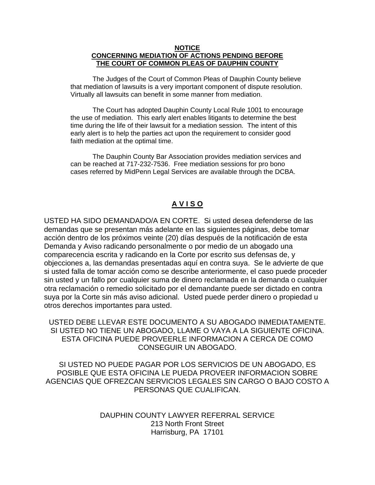#### **NOTICE CONCERNING MEDIATION OF ACTIONS PENDING BEFORE THE COURT OF COMMON PLEAS OF DAUPHIN COUNTY**

The Judges of the Court of Common Pleas of Dauphin County believe that mediation of lawsuits is a very important component of dispute resolution. Virtually all lawsuits can benefit in some manner from mediation.

The Court has adopted Dauphin County Local Rule 1001 to encourage the use of mediation. This early alert enables litigants to determine the best time during the life of their lawsuit for a mediation session. The intent of this early alert is to help the parties act upon the requirement to consider good faith mediation at the optimal time.

The Dauphin County Bar Association provides mediation services and can be reached at 717-232-7536. Free mediation sessions for pro bono cases referred by MidPenn Legal Services are available through the DCBA.

## **A V I S O**

USTED HA SIDO DEMANDADO/A EN CORTE. Si usted desea defenderse de las demandas que se presentan más adelante en las siguientes páginas, debe tomar acción dentro de los próximos veinte (20) días después de la notificación de esta Demanda y Aviso radicando personalmente o por medio de un abogado una comparecencia escrita y radicando en la Corte por escrito sus defensas de, y objecciones a, las demandas presentadas aquí en contra suya. Se le advierte de que si usted falla de tomar acción como se describe anteriormente, el caso puede proceder sin usted y un fallo por cualquier suma de dinero reclamada en la demanda o cualquier otra reclamación o remedio solicitado por el demandante puede ser dictado en contra suya por la Corte sin más aviso adicional. Usted puede perder dinero o propiedad u otros derechos importantes para usted.

USTED DEBE LLEVAR ESTE DOCUMENTO A SU ABOGADO INMEDIATAMENTE. SI USTED NO TIENE UN ABOGADO, LLAME O VAYA A LA SIGUIENTE OFICINA. ESTA OFICINA PUEDE PROVEERLE INFORMACION A CERCA DE COMO CONSEGUIR UN ABOGADO.

SI USTED NO PUEDE PAGAR POR LOS SERVICIOS DE UN ABOGADO, ES POSIBLE QUE ESTA OFICINA LE PUEDA PROVEER INFORMACION SOBRE AGENCIAS QUE OFREZCAN SERVICIOS LEGALES SIN CARGO O BAJO COSTO A PERSONAS QUE CUALIFICAN.

> DAUPHIN COUNTY LAWYER REFERRAL SERVICE 213 North Front Street Harrisburg, PA 17101